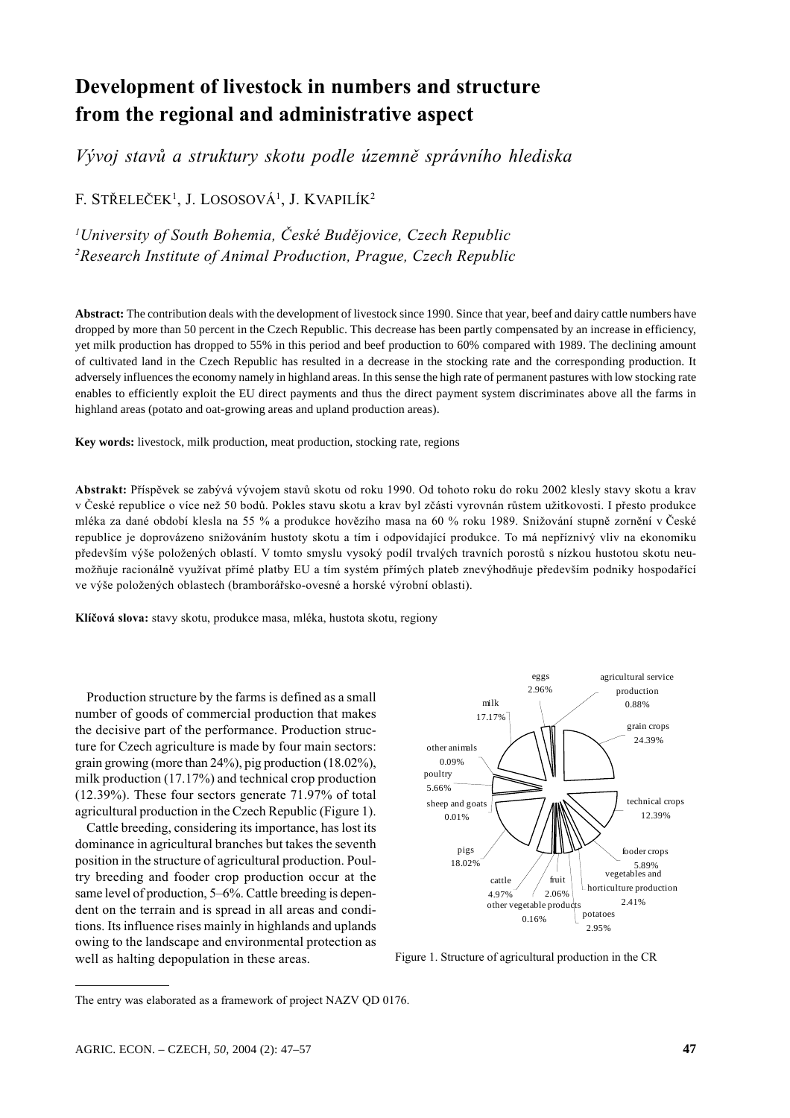# Development of livestock in numbers and structure from the regional and administrative aspect

Vývoj stavů a struktury skotu podle územně správního hlediska

F. STŘELEČEK<sup>1</sup>, J. LOSOSOVÁ<sup>1</sup>, J. KVAPILÍK<sup>2</sup>

<sup>1</sup>University of South Bohemia, České Budějovice, Czech Republic <sup>2</sup>Research Institute of Animal Production, Prague, Czech Republic

Abstract: The contribution deals with the development of livestock since 1990. Since that year, beef and dairy cattle numbers have dropped by more than 50 percent in the Czech Republic. This decrease has been partly compensated by an increase in efficiency, yet milk production has dropped to 55% in this period and beef production to 60% compared with 1989. The declining amount of cultivated land in the Czech Republic has resulted in a decrease in the stocking rate and the corresponding production. It adversely influences the economy namely in highland areas. In this sense the high rate of permanent pastures with low stocking rate enables to efficiently exploit the EU direct payments and thus the direct payment system discriminates above all the farms in highland areas (potato and oat-growing areas and upland production areas).

Key words: livestock, milk production, meat production, stocking rate, regions

Abstrakt: Příspěvek se zabývá vývojem stavů skotu od roku 1990. Od tohoto roku do roku 2002 klesly stavy skotu a krav v České republice o více než 50 bodů. Pokles stavu skotu a krav byl zčásti vyrovnán růstem užitkovosti. I přesto produkce mléka za dané období klesla na 55 % a produkce hovězího masa na 60 % roku 1989. Snižování stupně zornění v České republice je doprovázeno snižováním hustoty skotu a tím i odpovídající produkce. To má nepříznivý vliv na ekonomiku především výše položených oblastí. V tomto smyslu vysoký podíl trvalých travních porostů s nízkou hustotou skotu neumožňuje racionálně využívat přímé platby EU a tím systém přímých plateb znevýhodňuje především podniky hospodařící ve výše položených oblastech (bramborářsko-ovesné a horské výrobní oblasti).

Klíčová slova: stavy skotu, produkce masa, mléka, hustota skotu, regiony

Production structure by the farms is defined as a small number of goods of commercial production that makes the decisive part of the performance. Production structure for Czech agriculture is made by four main sectors: grain growing (more than  $24\%$ ), pig production (18.02%), milk production (17.17%) and technical crop production (12.39%). These four sectors generate 71.97% of total agricultural production in the Czech Republic (Figure 1).

Cattle breeding, considering its importance, has lost its dominance in agricultural branches but takes the seventh position in the structure of agricultural production. Poultry breeding and fooder crop production occur at the same level of production, 5–6%. Cattle breeding is dependent on the terrain and is spread in all areas and conditions. Its influence rises mainly in highlands and uplands owing to the landscape and environmental protection as well as halting depopulation in these areas.



Figure 1. Structure of agricultural production in the CR

The entry was elaborated as a framework of project NAZV QD 0176.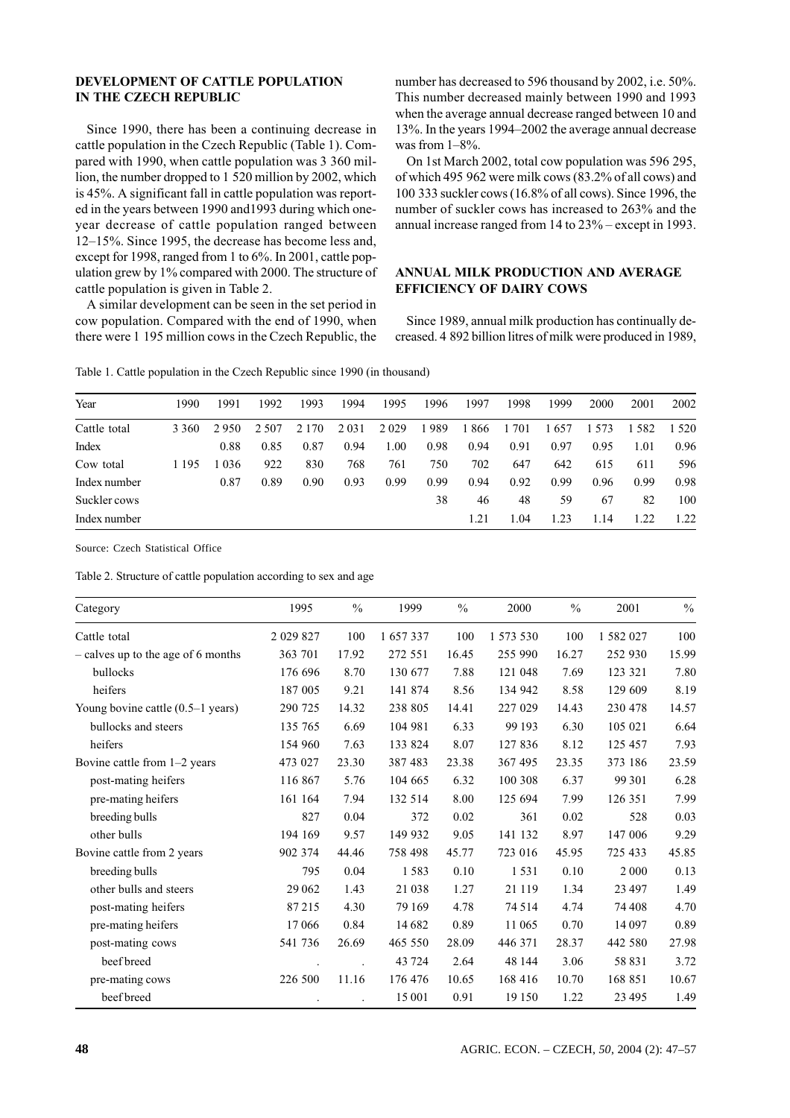## DEVELOPMENT OF CATTLE POPULATION IN THE CZECH REPUBLIC

Since 1990, there has been a continuing decrease in cattle population in the Czech Republic (Table 1). Compared with 1990, when cattle population was 3 360 million, the number dropped to 1 520 million by 2002, which is 45%. A significant fall in cattle population was reported in the years between 1990 and 1993 during which oneyear decrease of cattle population ranged between 12–15%. Since 1995, the decrease has become less and. except for 1998, ranged from 1 to  $6\%$ . In 2001, cattle population grew by 1% compared with 2000. The structure of cattle population is given in Table 2.

A similar development can be seen in the set period in cow population. Compared with the end of 1990, when there were 1 195 million cows in the Czech Republic, the

number has decreased to 596 thousand by 2002, i.e. 50%. This number decreased mainly between 1990 and 1993 when the average annual decrease ranged between 10 and 13%. In the years 1994–2002 the average annual decrease was from  $1-8\%$ .

On 1st March 2002, total cow population was 596 295, of which 495 962 were milk cows (83.2% of all cows) and 100 333 suckler cows (16.8% of all cows). Since 1996, the number of suckler cows has increased to 263% and the annual increase ranged from 14 to 23% – except in 1993.

#### ANNUAL MILK PRODUCTION AND AVERAGE **EFFICIENCY OF DAIRY COWS**

Since 1989, annual milk production has continually decreased. 4 892 billion litres of milk were produced in 1989.

| Year         | 1990    | 1991 | 1992  | 1993    | 1994 | 1995 | 1996 | 1997 | 1998  | 1999 | 2000 | 2001 | 2002    |
|--------------|---------|------|-------|---------|------|------|------|------|-------|------|------|------|---------|
| Cattle total | 3 3 6 0 | 2950 | 2.507 | 2 1 7 0 | 2031 | 2029 | 1989 | 1866 | 1 701 | 1657 | 573  | 1582 | 1 5 2 0 |
| Index        |         | 0.88 | 0.85  | 0.87    | 0.94 | 1.00 | 0.98 | 0.94 | 0.91  | 0.97 | 0.95 | 1.01 | 0.96    |
| Cow total    | 1 195   | 036  | 922   | 830     | 768  | 761  | 750  | 702  | 647   | 642  | 615  | 611  | 596     |
| Index number |         | 0.87 | 0.89  | 0.90    | 0.93 | 0.99 | 0.99 | 0.94 | 0.92  | 0.99 | 0.96 | 0.99 | 0.98    |
| Suckler cows |         |      |       |         |      |      | 38   | 46   | 48    | 59   | 67   | 82   | 100     |
| Index number |         |      |       |         |      |      |      | 1.21 | .04   | 1.23 | 1.14 | 1.22 | 1.22    |

Table 1. Cattle population in the Czech Republic since 1990 (in thousand)

| Category                           | 1995        | $\frac{0}{0}$ | 1999    | $\frac{0}{0}$ | 2000      | $\frac{0}{0}$ | 2001      | $\frac{0}{0}$ |
|------------------------------------|-------------|---------------|---------|---------------|-----------|---------------|-----------|---------------|
| Cattle total                       | 2 0 29 8 27 | 100           | 1657337 | 100           | 1 573 530 | 100           | 1 582 027 | 100           |
| – calves up to the age of 6 months | 363 701     | 17.92         | 272 551 | 16.45         | 255 990   | 16.27         | 252 930   | 15.99         |
| bullocks                           | 176 696     | 8.70          | 130 677 | 7.88          | 121 048   | 7.69          | 123 321   | 7.80          |
| heifers                            | 187 005     | 9.21          | 141 874 | 8.56          | 134 942   | 8.58          | 129 609   | 8.19          |
| Young bovine cattle (0.5-1 years)  | 290 725     | 14.32         | 238 805 | 14.41         | 227 029   | 14.43         | 230 478   | 14.57         |
| bullocks and steers                | 135 765     | 6.69          | 104 981 | 6.33          | 99 193    | 6.30          | 105 021   | 6.64          |
| heifers                            | 154 960     | 7.63          | 133 824 | 8.07          | 127 836   | 8.12          | 125 457   | 7.93          |
| Bovine cattle from 1-2 years       | 473 027     | 23.30         | 387 483 | 23.38         | 367 495   | 23.35         | 373 186   | 23.59         |
| post-mating heifers                | 116 867     | 5.76          | 104 665 | 6.32          | 100 308   | 6.37          | 99 301    | 6.28          |
| pre-mating heifers                 | 161 164     | 7.94          | 132 514 | 8.00          | 125 694   | 7.99          | 126 351   | 7.99          |
| breeding bulls                     | 827         | 0.04          | 372     | 0.02          | 361       | 0.02          | 528       | 0.03          |
| other bulls                        | 194 169     | 9.57          | 149 932 | 9.05          | 141 132   | 8.97          | 147 006   | 9.29          |
| Bovine cattle from 2 years         | 902 374     | 44.46         | 758 498 | 45.77         | 723 016   | 45.95         | 725 433   | 45.85         |
| breeding bulls                     | 795         | 0.04          | 1583    | 0.10          | 1531      | 0.10          | 2000      | 0.13          |
| other bulls and steers             | 29 062      | 1.43          | 21 038  | 1.27          | 21 119    | 1.34          | 23 4 97   | 1.49          |
| post-mating heifers                | 87215       | 4.30          | 79 169  | 4.78          | 74 5 14   | 4.74          | 74 408    | 4.70          |
| pre-mating heifers                 | 17066       | 0.84          | 14 682  | 0.89          | 11065     | 0.70          | 14 097    | 0.89          |
| post-mating cows                   | 541 736     | 26.69         | 465 550 | 28.09         | 446 371   | 28.37         | 442 580   | 27.98         |
| beef breed                         |             |               | 43 724  | 2.64          | 48 144    | 3.06          | 58 831    | 3.72          |
| pre-mating cows                    | 226 500     | 11.16         | 176 476 | 10.65         | 168 416   | 10.70         | 168 851   | 10.67         |
| beef breed                         |             |               | 15 001  | 0.91          | 19 150    | 1.22          | 23 4 95   | 1.49          |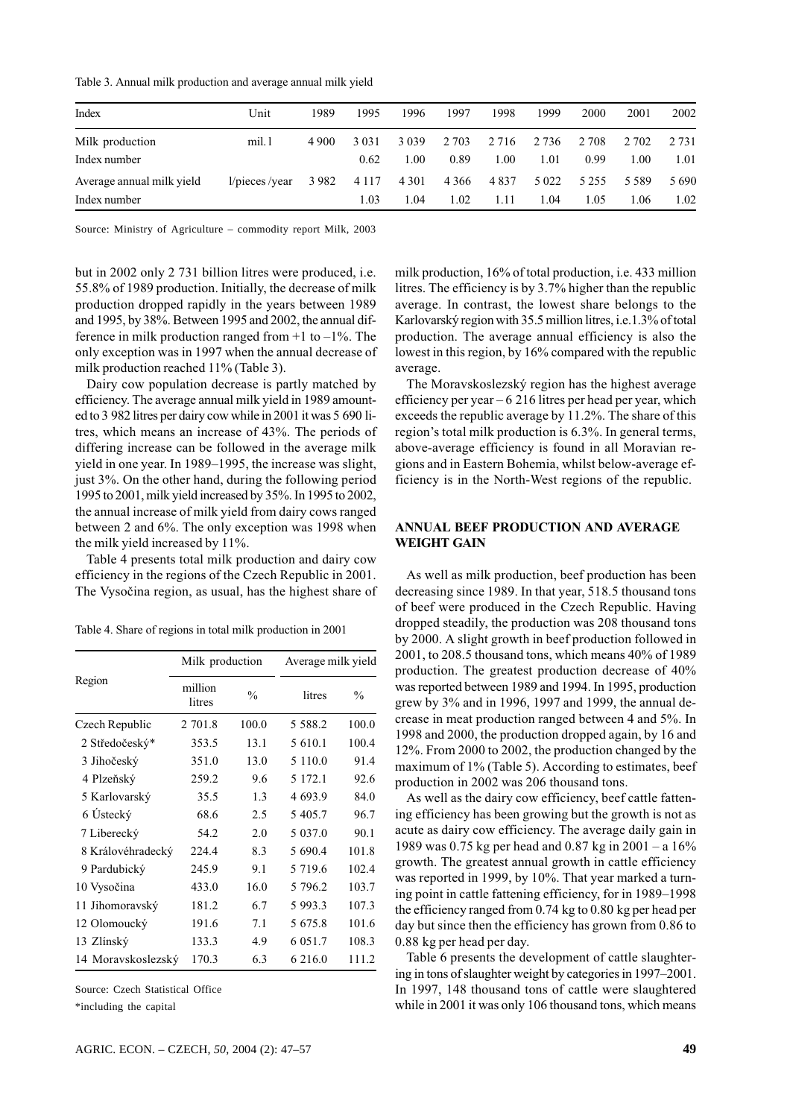Table 3. Annual milk production and average annual milk yield

| Index                     | Unit          | 1989    | 1995    | 1996    | 1997    | 1998    | 1999    | 2000    | 2001    | 2002  |
|---------------------------|---------------|---------|---------|---------|---------|---------|---------|---------|---------|-------|
| Milk production           | mil.1         | 4 9 0 0 | 3 0 3 1 | 3 0 3 9 | 2 7 0 3 | 2 7 1 6 | 2 7 3 6 | 2 7 0 8 | 2 702   | 2.731 |
| Index number              |               |         | 0.62    | 1.00    | 0.89    | 1.00    | 1.01    | 0.99    | 1.00    | 1.01  |
| Average annual milk yield | 1/pieces/year | 3 9 8 2 | 4 1 1 7 | 4 3 0 1 | 4 3 6 6 | 4837    | 5 0 2 2 | 5 2 5 5 | 5 5 8 9 | 5690  |
| Index number              |               |         | 1.03    | 1.04    | 1.02    | 1.11    | 1.04    | 1.05    | 1.06    | 1.02  |

Source: Ministry of Agriculture - commodity report Milk, 2003

but in 2002 only 2 731 billion litres were produced, i.e. 55.8% of 1989 production. Initially, the decrease of milk production dropped rapidly in the years between 1989 and 1995, by 38%. Between 1995 and 2002, the annual difference in milk production ranged from  $+1$  to  $-1\%$ . The only exception was in 1997 when the annual decrease of milk production reached 11% (Table 3).

Dairy cow population decrease is partly matched by efficiency. The average annual milk yield in 1989 amounted to 3 982 litres per dairy cow while in 2001 it was 5 690 litres, which means an increase of 43%. The periods of differing increase can be followed in the average milk yield in one year. In 1989–1995, the increase was slight, just 3%. On the other hand, during the following period 1995 to 2001, milk yield increased by 35%. In 1995 to 2002, the annual increase of milk yield from dairy cows ranged between 2 and 6%. The only exception was 1998 when the milk yield increased by 11%.

Table 4 presents total milk production and dairy cow efficiency in the regions of the Czech Republic in 2001. The Vysočina region, as usual, has the highest share of

Table 4. Share of regions in total milk production in 2001

|                    | Milk production   |               |             | Average milk yield |  |  |  |
|--------------------|-------------------|---------------|-------------|--------------------|--|--|--|
| Region             | million<br>litres | $\frac{0}{0}$ | litres      | $\frac{0}{0}$      |  |  |  |
| Czech Republic     | 2 701.8           | 100.0         | 5 5 8 8 .2  | 100.0              |  |  |  |
| 2 Středočeský*     | 353.5             | 13.1          | 5 610.1     | 100.4              |  |  |  |
| 3 Jihočeský        | 351.0             | 13.0          | 5 1 1 0 .0  | 91.4               |  |  |  |
| 4 Plzeňský         | 259.2             | 9.6           | 5 172.1     | 92.6               |  |  |  |
| 5 Karlovarský      | 35.5              | 1.3           | 4 6 9 3.9   | 84.0               |  |  |  |
| 6 Ústecký          | 68.6              | 2.5           | 5 405.7     | 96.7               |  |  |  |
| 7 Liberecký        | 54.2              | 2.0           | 5 0 3 7 .0  | 90.1               |  |  |  |
| 8 Královéhradecký  | 224.4             | 8.3           | 5 690.4     | 101.8              |  |  |  |
| 9 Pardubický       | 245.9             | 9.1           | 5 7 1 9 . 6 | 102.4              |  |  |  |
| 10 Vysočina        | 433.0             | 16.0          | 5 796.2     | 103.7              |  |  |  |
| 11 Jihomoravský    | 181.2             | 6.7           | 5 9 9 3 . 3 | 107.3              |  |  |  |
| 12 Olomoucký       | 191.6             | 7.1           | 5 675.8     | 101.6              |  |  |  |
| 13 Zlínský         | 133.3             | 4.9           | 6 0 5 1 .7  | 108.3              |  |  |  |
| 14 Moravskoslezský | 170.3             | 6.3           | 6 216.0     | 111.2              |  |  |  |

Source: Czech Statistical Office

\*including the capital

milk production, 16% of total production, *i.e.* 433 million litres. The efficiency is by 3.7% higher than the republic average. In contrast, the lowest share belongs to the Karlovarský region with 35.5 million litres, i.e.1.3% of total production. The average annual efficiency is also the lowest in this region, by 16% compared with the republic average.

The Moravskoslezský region has the highest average efficiency per year  $-6$  216 litres per head per year, which exceeds the republic average by 11.2%. The share of this region's total milk production is 6.3%. In general terms, above-average efficiency is found in all Moravian regions and in Eastern Bohemia, whilst below-average efficiency is in the North-West regions of the republic.

## **ANNUAL BEEF PRODUCTION AND AVERAGE WEIGHT GAIN**

As well as milk production, beef production has been decreasing since 1989. In that year, 518.5 thousand tons of beef were produced in the Czech Republic. Having dropped steadily, the production was 208 thousand tons by 2000. A slight growth in beef production followed in 2001, to 208.5 thousand tons, which means 40% of 1989 production. The greatest production decrease of 40% was reported between 1989 and 1994. In 1995, production grew by 3% and in 1996, 1997 and 1999, the annual decrease in meat production ranged between 4 and 5%. In 1998 and 2000, the production dropped again, by 16 and 12%. From 2000 to 2002, the production changed by the maximum of 1% (Table 5). According to estimates, beef production in 2002 was 206 thousand tons.

As well as the dairy cow efficiency, beef cattle fattening efficiency has been growing but the growth is not as acute as dairy cow efficiency. The average daily gain in 1989 was 0.75 kg per head and 0.87 kg in  $2001 - a 16\%$ growth. The greatest annual growth in cattle efficiency was reported in 1999, by 10%. That year marked a turning point in cattle fattening efficiency, for in 1989–1998 the efficiency ranged from  $0.74$  kg to  $0.80$  kg per head per day but since then the efficiency has grown from 0.86 to 0.88 kg per head per day.

Table 6 presents the development of cattle slaughtering in tons of slaughter weight by categories in 1997–2001. In 1997, 148 thousand tons of cattle were slaughtered while in 2001 it was only 106 thousand tons, which means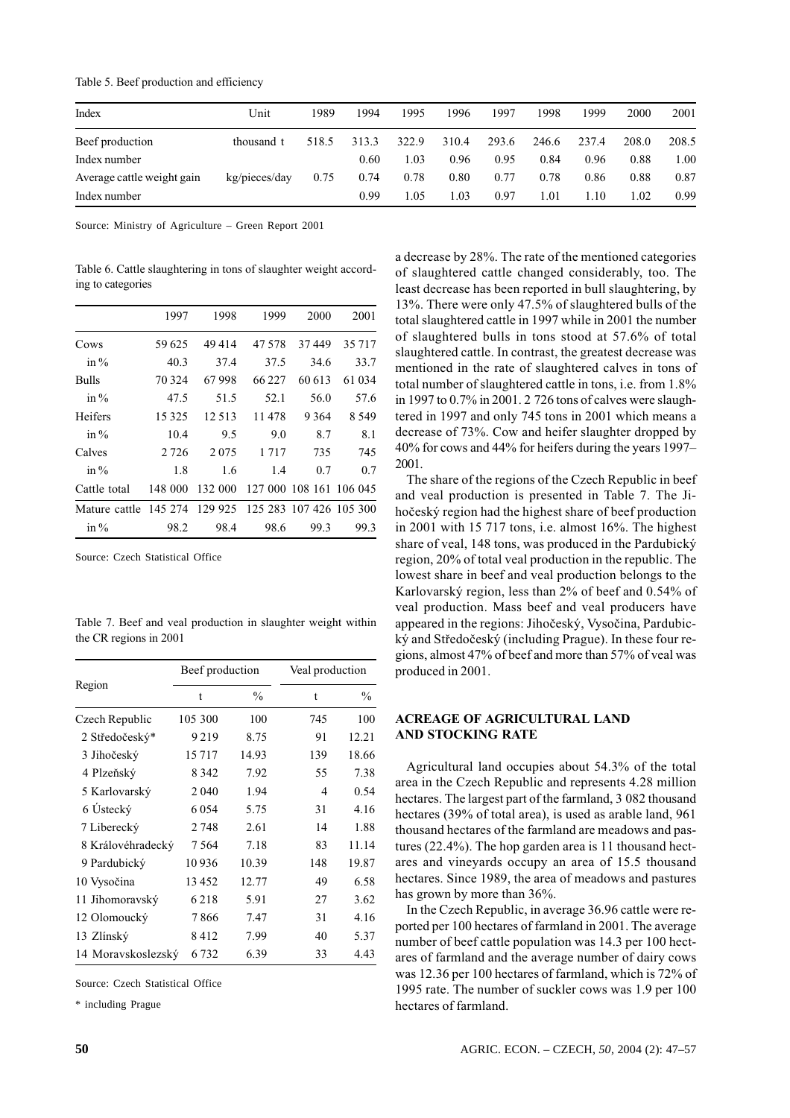| Index                      | Unit          | 1989  | 1994  | 1995  | 1996  | 1997  | 1998  | 1999  | 2000  | 2001  |
|----------------------------|---------------|-------|-------|-------|-------|-------|-------|-------|-------|-------|
| Beef production            | thousand t    | 518.5 | 313.3 | 322.9 | 310.4 | 293.6 | 246.6 | 237.4 | 208.0 | 208.5 |
| Index number               |               |       | 0.60  | 1.03  | 0.96  | 0.95  | 0.84  | 0.96  | 0.88  | 1.00  |
| Average cattle weight gain | kg/pieces/day | 0.75  | 0.74  | 0.78  | 0.80  | 0.77  | 0.78  | 0.86  | 0.88  | 0.87  |
| Index number               |               |       | 0.99  | 1.05  | 1.03  | 0.97  | 1.01  | 1.10  | 1.02  | 0.99  |

Table 5. Beef production and efficiency

Source: Ministry of Agriculture - Green Report 2001

Table 6. Cattle slaughtering in tons of slaughter weight according to categories

|                       | 1997    | 1998    | 1999    | 2000                    | 2001     |
|-----------------------|---------|---------|---------|-------------------------|----------|
| Cows                  | 59 625  | 49414   | 47.578  | 37449                   | 35 7 1 7 |
| in $\%$               | 40.3    | 37.4    | 37.5    | 34.6                    | 33.7     |
| Bulls                 | 70 324  | 67998   | 66 22.7 | 60 613                  | 61 034   |
| in $\%$               | 47.5    | 51.5    | 52.1    | 56.0                    | 57.6     |
| Heifers               | 15 3 25 | 12.513  | 11478   | 9 3 6 4                 | 8.549    |
| in $\%$               | 10.4    | 9.5     | 9.0     | 8.7                     | 8.1      |
| Calves                | 2 7 2 6 | 2075    | 1 7 1 7 | 735                     | 745      |
| in $\%$               | 1.8     | 1.6     | 1.4     | 0.7                     | 0.7      |
| Cattle total          | 148 000 | 132 000 |         | 127 000 108 161 106 045 |          |
| Mature cattle 145 274 |         | 129 925 |         | 125 283 107 426 105 300 |          |
| in $\%$               | 98.2    | 98.4    | 98.6    | 99.3                    | 99.3     |

Source: Czech Statistical Office

Table 7. Beef and veal production in slaughter weight within the CR regions in 2001

|                    | Beef production |               |     | Veal production |  |  |  |
|--------------------|-----------------|---------------|-----|-----------------|--|--|--|
| Region             | t               | $\frac{0}{0}$ | t   | $\frac{0}{0}$   |  |  |  |
| Czech Republic     | 105 300         | 100           | 745 | 100             |  |  |  |
| 2 Středočeský*     | 9219            | 8.75          | 91  | 12.21           |  |  |  |
| 3 Jihočeský        | 15717           | 14.93         | 139 | 18.66           |  |  |  |
| 4 Plzeňský         | 8 3 4 2         | 7.92          | 55  | 7.38            |  |  |  |
| 5 Karlovarský      | 2040            | 1.94          | 4   | 0.54            |  |  |  |
| 6 Ústecký          | 6054            | 5.75          | 31  | 4.16            |  |  |  |
| 7 Liberecký        | 2748            | 2.61          | 14  | 1.88            |  |  |  |
| 8 Královéhradecký  | 7564            | 7.18          | 83  | 11.14           |  |  |  |
| 9 Pardubický       | 10 9 36         | 10.39         | 148 | 19.87           |  |  |  |
| 10 Vysočina        | 13 452          | 12.77         | 49  | 6.58            |  |  |  |
| 11 Jihomoravský    | 6218            | 5.91          | 27  | 3.62            |  |  |  |
| 12 Olomoucký       | 7866            | 7.47          | 31  | 4.16            |  |  |  |
| 13 Zlínský         | 8412            | 7.99          | 40  | 5.37            |  |  |  |
| 14 Moravskoslezský | 6 7 3 2         | 6.39          | 33  | 4.43            |  |  |  |

Source: Czech Statistical Office

\* including Prague

a decrease by 28%. The rate of the mentioned categories of slaughtered cattle changed considerably, too. The least decrease has been reported in bull slaughtering, by 13%. There were only 47.5% of slaughtered bulls of the total slaughtered cattle in 1997 while in 2001 the number of slaughtered bulls in tons stood at 57.6% of total slaughtered cattle. In contrast, the greatest decrease was mentioned in the rate of slaughtered calves in tons of total number of slaughtered cattle in tons, i.e. from 1.8% in 1997 to 0.7% in 2001. 2 726 tons of calves were slaughtered in 1997 and only 745 tons in 2001 which means a decrease of 73%. Cow and heifer slaughter dropped by 40% for cows and 44% for heifers during the years 1997– 2001.

The share of the regions of the Czech Republic in beef and yeal production is presented in Table 7. The Jihočeský region had the highest share of beef production in 2001 with 15 717 tons, i.e. almost  $16\%$ . The highest share of veal, 148 tons, was produced in the Pardubický region, 20% of total veal production in the republic. The lowest share in beef and veal production belongs to the Karlovarský region, less than 2% of beef and 0.54% of veal production. Mass beef and yeal producers have appeared in the regions: Jihočeský, Vysočina, Pardubický and Středočeský (including Prague). In these four regions, almost 47% of beef and more than 57% of yeal was produced in 2001.

### **ACREAGE OF AGRICULTURAL LAND AND STOCKING RATE**

Agricultural land occupies about 54.3% of the total area in the Czech Republic and represents 4.28 million hectares. The largest part of the farmland, 3 082 thousand hectares (39% of total area), is used as arable land, 961 thousand hectares of the farmland are meadows and pastures  $(22.4\%)$ . The hop garden area is 11 thousand hectares and vineyards occupy an area of 15.5 thousand hectares. Since 1989, the area of meadows and pastures has grown by more than 36%.

In the Czech Republic, in average 36.96 cattle were reported per 100 hectares of farmland in 2001. The average number of beef cattle population was 14.3 per 100 hectares of farmland and the average number of dairy cows was 12.36 per 100 hectares of farmland, which is 72% of 1995 rate. The number of suckler cows was 1.9 per 100 hectares of farmland.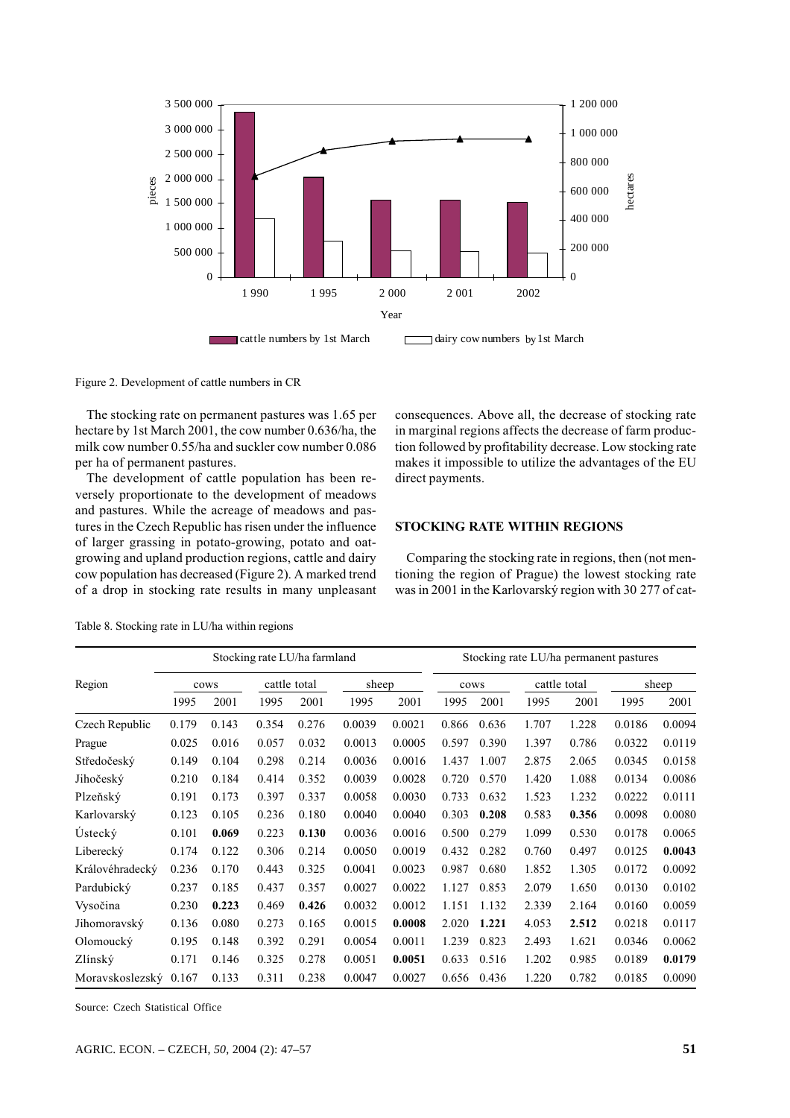

Figure 2. Development of cattle numbers in CR

The stocking rate on permanent pastures was 1.65 per hectare by 1st March 2001, the cow number 0.636/ha, the milk cow number 0.55/ha and suckler cow number 0.086 per ha of permanent pastures.

The development of cattle population has been reversely proportionate to the development of meadows and pastures. While the acreage of meadows and pastures in the Czech Republic has risen under the influence of larger grassing in potato-growing, potato and oatgrowing and upland production regions, cattle and dairy cow population has decreased (Figure 2). A marked trend of a drop in stocking rate results in many unpleasant consequences. Above all, the decrease of stocking rate in marginal regions affects the decrease of farm production followed by profitability decrease. Low stocking rate makes it impossible to utilize the advantages of the EU direct payments.

#### **STOCKING RATE WITHIN REGIONS**

Comparing the stocking rate in regions, then (not mentioning the region of Prague) the lowest stocking rate was in 2001 in the Karlovarský region with 30 277 of cat-

|                 | Stocking rate LU/ha farmland |       |       |              |        |        |       | Stocking rate LU/ha permanent pastures |              |       |        |        |  |  |
|-----------------|------------------------------|-------|-------|--------------|--------|--------|-------|----------------------------------------|--------------|-------|--------|--------|--|--|
| Region          | cows                         |       |       | cattle total | sheep  |        | cows  |                                        | cattle total |       | sheep  |        |  |  |
|                 | 1995                         | 2001  | 1995  | 2001         | 1995   | 2001   | 1995  | 2001                                   | 1995         | 2001  | 1995   | 2001   |  |  |
| Czech Republic  | 0.179                        | 0.143 | 0.354 | 0.276        | 0.0039 | 0.0021 | 0.866 | 0.636                                  | 1.707        | 1.228 | 0.0186 | 0.0094 |  |  |
| Prague          | 0.025                        | 0.016 | 0.057 | 0.032        | 0.0013 | 0.0005 | 0.597 | 0.390                                  | 1.397        | 0.786 | 0.0322 | 0.0119 |  |  |
| Středočeský     | 0.149                        | 0.104 | 0.298 | 0.214        | 0.0036 | 0.0016 | 1.437 | 1.007                                  | 2.875        | 2.065 | 0.0345 | 0.0158 |  |  |
| Jihočeský       | 0.210                        | 0.184 | 0.414 | 0.352        | 0.0039 | 0.0028 | 0.720 | 0.570                                  | 1.420        | 1.088 | 0.0134 | 0.0086 |  |  |
| Plzeňský        | 0.191                        | 0.173 | 0.397 | 0.337        | 0.0058 | 0.0030 | 0.733 | 0.632                                  | 1.523        | 1.232 | 0.0222 | 0.0111 |  |  |
| Karlovarský     | 0.123                        | 0.105 | 0.236 | 0.180        | 0.0040 | 0.0040 | 0.303 | 0.208                                  | 0.583        | 0.356 | 0.0098 | 0.0080 |  |  |
| Ústecký         | 0.101                        | 0.069 | 0.223 | 0.130        | 0.0036 | 0.0016 | 0.500 | 0.279                                  | 1.099        | 0.530 | 0.0178 | 0.0065 |  |  |
| Liberecký       | 0.174                        | 0.122 | 0.306 | 0.214        | 0.0050 | 0.0019 | 0.432 | 0.282                                  | 0.760        | 0.497 | 0.0125 | 0.0043 |  |  |
| Královéhradecký | 0.236                        | 0.170 | 0.443 | 0.325        | 0.0041 | 0.0023 | 0.987 | 0.680                                  | 1.852        | 1.305 | 0.0172 | 0.0092 |  |  |
| Pardubický      | 0.237                        | 0.185 | 0.437 | 0.357        | 0.0027 | 0.0022 | 1.127 | 0.853                                  | 2.079        | 1.650 | 0.0130 | 0.0102 |  |  |
| Vysočina        | 0.230                        | 0.223 | 0.469 | 0.426        | 0.0032 | 0.0012 | 1.151 | 1.132                                  | 2.339        | 2.164 | 0.0160 | 0.0059 |  |  |
| Jihomoravský    | 0.136                        | 0.080 | 0.273 | 0.165        | 0.0015 | 0.0008 | 2.020 | 1.221                                  | 4.053        | 2.512 | 0.0218 | 0.0117 |  |  |
| Olomoucký       | 0.195                        | 0.148 | 0.392 | 0.291        | 0.0054 | 0.0011 | 1.239 | 0.823                                  | 2.493        | 1.621 | 0.0346 | 0.0062 |  |  |
| Zlínský         | 0.171                        | 0.146 | 0.325 | 0.278        | 0.0051 | 0.0051 | 0.633 | 0.516                                  | 1.202        | 0.985 | 0.0189 | 0.0179 |  |  |
| Moravskoslezský | 0.167                        | 0.133 | 0.311 | 0.238        | 0.0047 | 0.0027 | 0.656 | 0.436                                  | 1.220        | 0.782 | 0.0185 | 0.0090 |  |  |

Table 8. Stocking rate in LU/ha within regions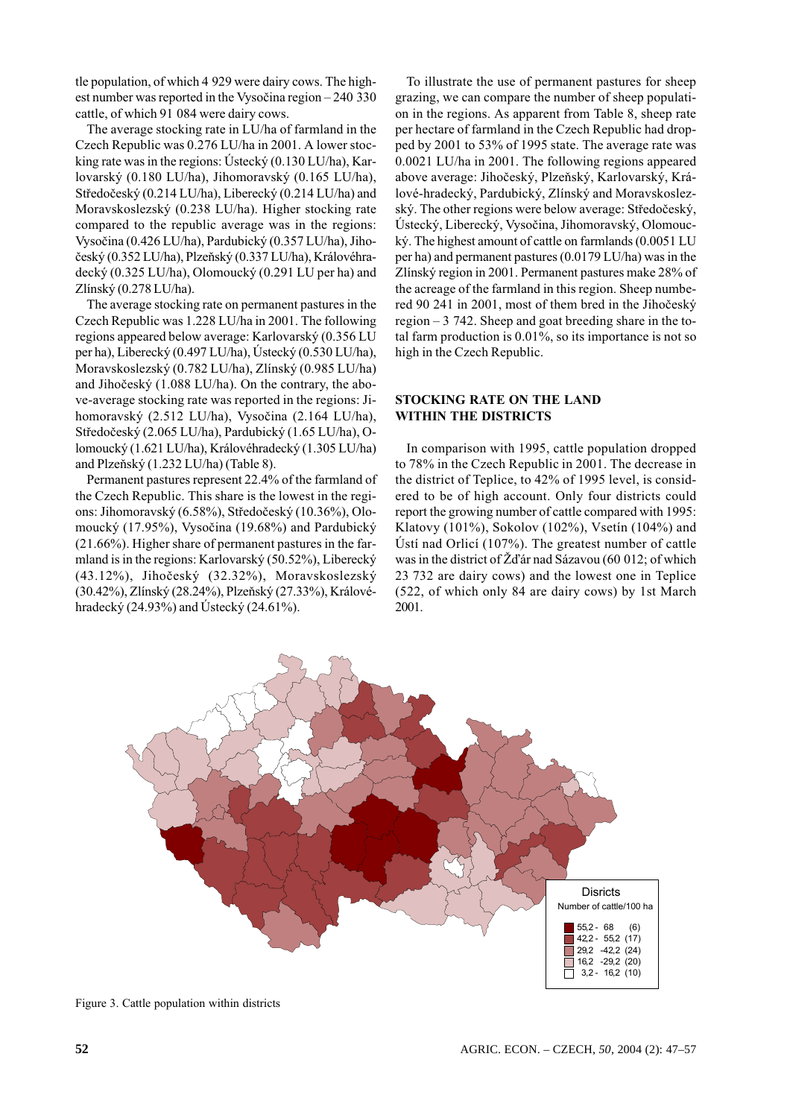tle population, of which 4 929 were dairy cows. The highest number was reported in the Vysočina region  $-240,330$ cattle, of which 91 084 were dairy cows.

The average stocking rate in LU/ha of farmland in the Czech Republic was 0.276 LU/ha in 2001. A lower stocking rate was in the regions: Ustecký  $(0.130 \text{ LU/ha})$ , Karlovarský (0.180 LU/ha), Jihomoravský (0.165 LU/ha), Středočeský (0.214 LU/ha), Liberecký (0.214 LU/ha) and Moravskoslezský (0.238 LU/ha). Higher stocking rate compared to the republic average was in the regions: Vysočina (0.426 LU/ha), Pardubický (0.357 LU/ha), Jihočeský (0.352 LU/ha), Plzeňský (0.337 LU/ha), Královéhradecký (0.325 LU/ha), Olomoucký (0.291 LU per ha) and Zlínský (0.278 LU/ha).

The average stocking rate on permanent pastures in the Czech Republic was 1.228 LU/ha in 2001. The following regions appeared below average: Karlovarský (0.356 LU per ha), Liberecký (0.497 LU/ha), Ústecký (0.530 LU/ha), Moravskoslezský (0.782 LU/ha), Zlínský (0.985 LU/ha) and Jihočeský (1.088 LU/ha). On the contrary, the above-average stocking rate was reported in the regions: Jihomoravský (2.512 LU/ha), Vysočina (2.164 LU/ha), Středočeský (2.065 LU/ha), Pardubický (1.65 LU/ha), Olomoucký (1.621 LU/ha), Královéhradecký (1.305 LU/ha) and Plzeňský (1.232 LU/ha) (Table 8).

Permanent pastures represent 22.4% of the farmland of the Czech Republic. This share is the lowest in the regions: Jihomoravský (6.58%), Středočeský (10.36%), Olomoucký (17.95%), Vysočina (19.68%) and Pardubický (21.66%). Higher share of permanent pastures in the farmland is in the regions: Karlovarský (50.52%), Liberecký (43.12%), Jihočeský (32.32%), Moravskoslezský (30.42%), Zlínský (28.24%), Plzeňský (27.33%), Královéhradecký (24.93%) and Ústecký (24.61%).

To illustrate the use of permanent pastures for sheep grazing, we can compare the number of sheep population in the regions. As apparent from Table 8, sheep rate per hectare of farmland in the Czech Republic had dropped by 2001 to 53% of 1995 state. The average rate was 0.0021 LU/ha in 2001. The following regions appeared above average: Jihočeský, Plzeňský, Karlovarský, Králové-hradecký, Pardubický, Zlínský and Moravskoslezský. The other regions were below average: Středočeský, Ústecký, Liberecký, Vysočina, Jihomoravský, Olomoucký. The highest amount of cattle on farmlands (0.0051 LU per ha) and permanent pastures (0.0179 LU/ha) was in the Zlínský region in 2001. Permanent pastures make 28% of the acreage of the farmland in this region. Sheep numbered 90 241 in 2001, most of them bred in the Jihočeský region  $-3$  742. Sheep and goat breeding share in the total farm production is  $0.01\%$ , so its importance is not so high in the Czech Republic.

## **STOCKING RATE ON THE LAND WITHIN THE DISTRICTS**

In comparison with 1995, cattle population dropped to 78% in the Czech Republic in 2001. The decrease in the district of Teplice, to 42% of 1995 level, is considered to be of high account. Only four districts could report the growing number of cattle compared with 1995: Klatovy (101%), Sokolov (102%), Vsetín (104%) and Ústí nad Orlicí (107%). The greatest number of cattle was in the district of  $\check{Z}$ d'ár nad Sázavou (60 012; of which 23 732 are dairy cows) and the lowest one in Teplice (522, of which only 84 are dairy cows) by 1st March 2001.



Figure 3. Cattle population within districts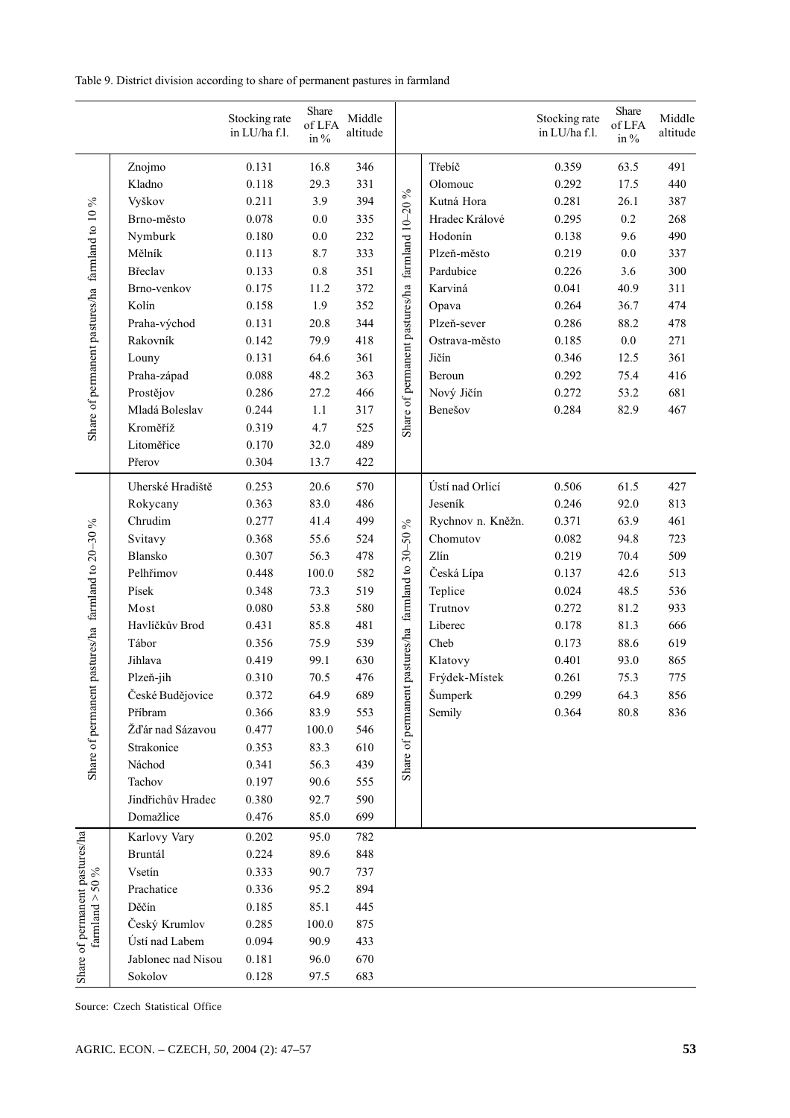Table 9. District division according to share of permanent pastures in farmland

|                                                    |                    | Stocking rate<br>in LU/ha f.l. | Share<br>of LFA<br>in % | Middle<br>altitude |                                |                           | Stocking rate<br>in LU/ha f.l. | Share<br>of LFA<br>in $\%$ | Middle<br>altitude |
|----------------------------------------------------|--------------------|--------------------------------|-------------------------|--------------------|--------------------------------|---------------------------|--------------------------------|----------------------------|--------------------|
|                                                    | Znojmo             | 0.131                          | 16.8                    | 346                |                                | Třebíč                    | 0.359                          | 63.5                       | 491                |
|                                                    | Kladno             | 0.118                          | 29.3                    | 331                |                                | Olomouc                   | 0.292                          | 17.5                       | 440                |
|                                                    | Vyškov             | 0.211                          | 3.9                     | 394                |                                | Kutná Hora                | 0.281                          | 26.1                       | 387                |
|                                                    | Brno-město         | 0.078                          | $0.0\,$                 | 335                |                                | Hradec Králové            | 0.295                          | 0.2                        | 268                |
|                                                    | Nymburk            | 0.180                          | $0.0\,$                 | 232                |                                | Hodonín                   | 0.138                          | 9.6                        | 490                |
|                                                    | Mělník             | 0.113                          | 8.7                     | 333                |                                | Plzeň-město               | 0.219                          | $0.0\,$                    | 337                |
|                                                    | Břeclav            | 0.133                          | $0.8\,$                 | 351                | farmland 10-20 %               | Pardubice                 | 0.226                          | 3.6                        | 300                |
|                                                    | Brno-venkov        | 0.175                          | 11.2                    | 372                |                                | Karviná                   | 0.041                          | 40.9                       | 311                |
| Share of permanent pastures/ha farmland to 10 %    | Kolín              | 0.158                          | 1.9                     | 352                | Share of permanent pastures/ha | Opava                     | 0.264                          | 36.7                       | 474                |
|                                                    | Praha-východ       | 0.131                          | 20.8                    | 344                |                                | Plzeň-sever               | 0.286                          | 88.2                       | 478                |
|                                                    | Rakovník           | 0.142                          | 79.9                    | 418                |                                | Ostrava-město             | 0.185                          | $0.0\,$                    | 271                |
|                                                    | Louny              | 0.131                          | 64.6                    | 361                |                                | Jičín                     | 0.346                          | 12.5                       | 361                |
|                                                    | Praha-západ        | 0.088                          | 48.2                    | 363                |                                | Beroun                    | 0.292                          | 75.4                       | 416                |
|                                                    | Prostějov          | 0.286                          | 27.2                    | 466                |                                | Nový Jičín                | 0.272                          | 53.2                       | 681                |
|                                                    | Mladá Boleslav     | 0.244                          | 1.1                     | 317                |                                | Benešov                   | 0.284                          | 82.9                       | 467                |
|                                                    | Kroměříž           | 0.319                          | 4.7                     | 525                |                                |                           |                                |                            |                    |
|                                                    | Litoměřice         | 0.170                          | 32.0                    | 489                |                                |                           |                                |                            |                    |
|                                                    | Přerov             | 0.304                          | 13.7                    | 422                |                                |                           |                                |                            |                    |
|                                                    | Uherské Hradiště   | 0.253                          | 20.6                    | 570                |                                | Ústí nad Orlicí           | 0.506                          | 61.5                       | 427                |
|                                                    | Rokycany           | 0.363                          | 83.0                    | 486                |                                | Jeseník                   | 0.246                          | 92.0                       | 813                |
|                                                    | Chrudim            | 0.277                          | 41.4                    | 499                | $\%$                           | Rychnov n. Kněžn.         | 0.371                          | 63.9                       | 461                |
|                                                    | Svitavy            | 0.368                          | 55.6                    | 524                | $30 - 50$                      | Chomutov                  | 0.082                          | 94.8                       | 723                |
|                                                    | Blansko            | 0.307                          | 56.3                    | 478                |                                | Zlín                      | 0.219                          | 70.4                       | 509                |
|                                                    | Pelhřimov          | 0.448                          | 100.0                   | 582                |                                | Česká Lípa                | 0.137                          | 42.6                       | 513                |
|                                                    | Písek              | 0.348                          | 73.3                    | 519                | farmland to                    | Teplice                   | 0.024                          | 48.5                       | 536                |
|                                                    | Most               | 0.080                          | 53.8                    | 580                |                                | Trutnov                   | 0.272                          | 81.2                       | 933                |
|                                                    | Havlíčkův Brod     | 0.431                          | 85.8                    | 481                |                                | Liberec                   | 0.178                          | 81.3                       | 666                |
|                                                    | Tábor              | 0.356                          | 75.9                    | 539                |                                | Cheb                      | 0.173                          | 88.6                       | 619                |
|                                                    | Jihlava            | 0.419                          | 99.1                    | 630                | pastures/ha                    | Klatovy                   | 0.401                          | 93.0                       | 865                |
|                                                    | Plzeň-jih          | 0.310                          | 70.5                    | 476                |                                | Frýdek-Místek             | 0.261                          | 75.3                       | 775                |
|                                                    | České Budějovice   | 0.372                          | 64.9                    | 689                |                                | $\check{\textrm{Sumber}}$ | 0.299                          | 64.3                       | 856                |
|                                                    | Příbram            | 0.366                          | 83.9                    | 553                |                                | Semily                    | 0.364                          | 80.8                       | 836                |
|                                                    | Žďár nad Sázavou   | 0.477                          | 100.0                   | 546                |                                |                           |                                |                            |                    |
| Share of permanent pastures/ha farmland to 20-30 % | Strakonice         | 0.353                          | 83.3                    | 610                | Share of permanent             |                           |                                |                            |                    |
|                                                    | Náchod             | 0.341                          | 56.3                    | 439                |                                |                           |                                |                            |                    |
|                                                    | Tachov             | 0.197                          | 90.6                    | 555                |                                |                           |                                |                            |                    |
|                                                    | Jindřichův Hradec  | 0.380                          | 92.7                    | 590                |                                |                           |                                |                            |                    |
|                                                    | Domažlice          | 0.476                          | 85.0                    | 699                |                                |                           |                                |                            |                    |
| Share of permanent pastures/ha                     | Karlovy Vary       | 0.202                          | 95.0                    | 782                |                                |                           |                                |                            |                    |
|                                                    | Bruntál            | 0.224                          | 89.6                    | 848                |                                |                           |                                |                            |                    |
| 50 %                                               | Vsetín             | 0.333                          | 90.7                    | 737                |                                |                           |                                |                            |                    |
|                                                    | Prachatice         | 0.336                          | 95.2                    | 894                |                                |                           |                                |                            |                    |
| farmland $>$                                       | Děčín              | 0.185                          | 85.1                    | 445                |                                |                           |                                |                            |                    |
|                                                    | Český Krumlov      | 0.285                          | 100.0                   | 875                |                                |                           |                                |                            |                    |
|                                                    | Ústí nad Labem     | 0.094                          | 90.9                    | 433                |                                |                           |                                |                            |                    |
|                                                    | Jablonec nad Nisou | 0.181                          | 96.0                    | 670                |                                |                           |                                |                            |                    |
|                                                    | Sokolov            | 0.128                          | 97.5                    | 683                |                                |                           |                                |                            |                    |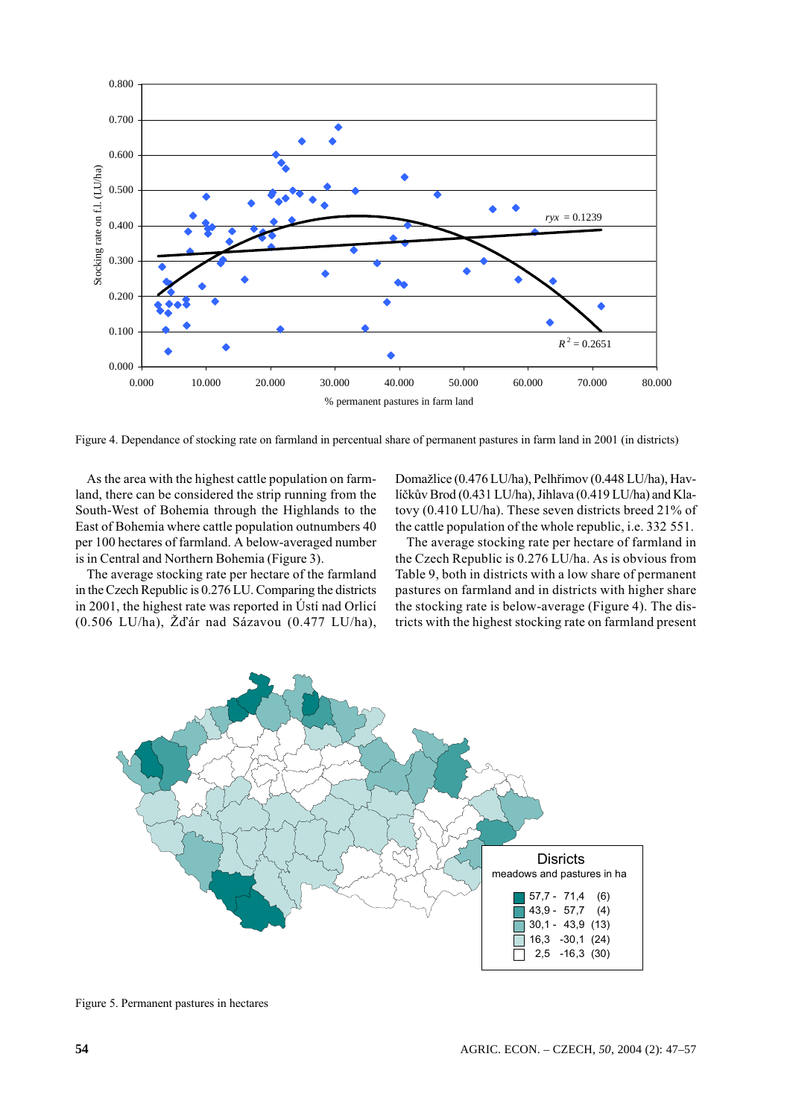

Figure 4. Dependance of stocking rate on farmland in percentual share of permanent pastures in farm land in 2001 (in districts)

As the area with the highest cattle population on farmland, there can be considered the strip running from the South-West of Bohemia through the Highlands to the East of Bohemia where cattle population outnumbers 40 per 100 hectares of farmland. A below-averaged number is in Central and Northern Bohemia (Figure 3).

The average stocking rate per hectare of the farmland in the Czech Republic is 0.276 LU. Comparing the districts in 2001, the highest rate was reported in Ústí nad Orlicí (0.506 LU/ha), Žďár nad Sázavou (0.477 LU/ha), Domažlice (0.476 LU/ha), Pelhřimov (0.448 LU/ha), Havlíčkův Brod (0.431 LU/ha), Jihlava (0.419 LU/ha) and Klatovy (0.410 LU/ha). These seven districts breed 21% of the cattle population of the whole republic, i.e. 332 551.

The average stocking rate per hectare of farmland in the Czech Republic is 0.276 LU/ha. As is obvious from Table 9, both in districts with a low share of permanent pastures on farmland and in districts with higher share the stocking rate is below-average (Figure 4). The districts with the highest stocking rate on farmland present



Figure 5. Permanent pastures in hectares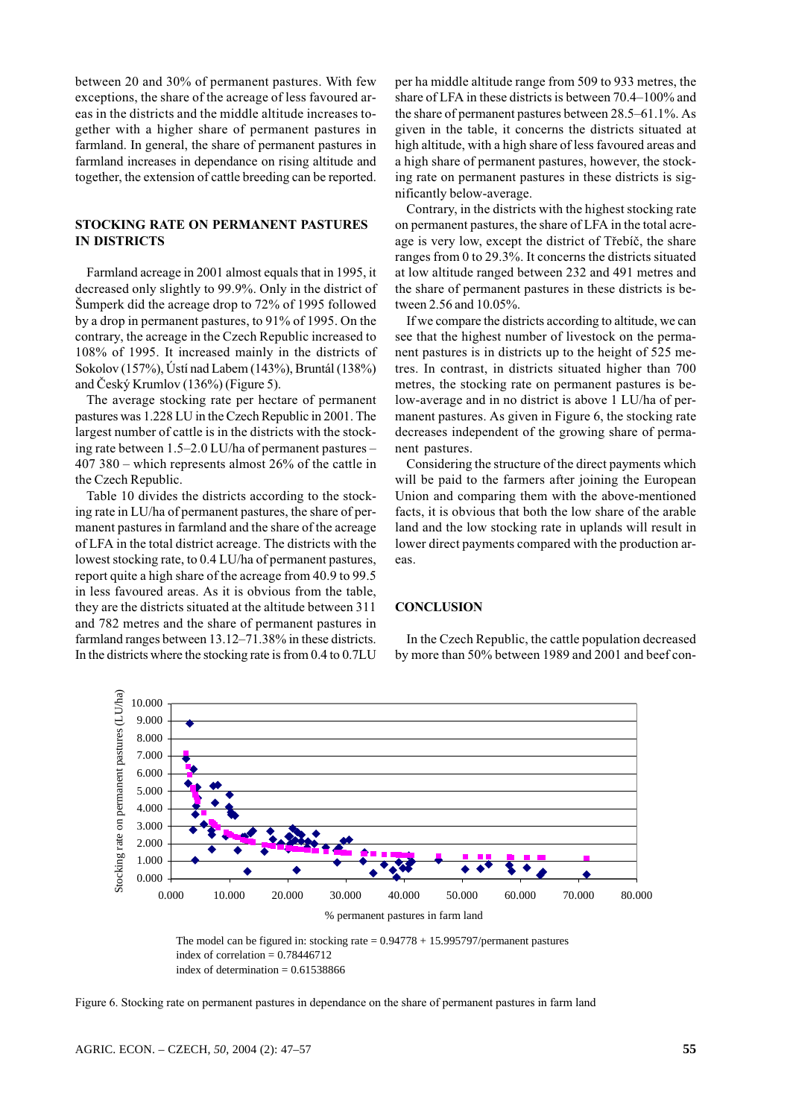between 20 and 30% of permanent pastures. With few exceptions, the share of the acreage of less favoured areas in the districts and the middle altitude increases together with a higher share of permanent pastures in farmland. In general, the share of permanent pastures in farmland increases in dependance on rising altitude and together, the extension of cattle breeding can be reported.

## STOCKING RATE ON PERMANENT PASTURES **IN DISTRICTS**

Farmland acreage in 2001 almost equals that in 1995, it decreased only slightly to 99.9%. Only in the district of Šumperk did the acreage drop to 72% of 1995 followed by a drop in permanent pastures, to 91% of 1995. On the contrary, the acreage in the Czech Republic increased to 108% of 1995. It increased mainly in the districts of Sokolov (157%), Ústí nad Labem (143%), Bruntál (138%) and Český Krumlov (136%) (Figure 5).

The average stocking rate per hectare of permanent pastures was 1.228 LU in the Czech Republic in 2001. The largest number of cattle is in the districts with the stocking rate between 1.5–2.0 LU/ha of permanent pastures – 407 380 – which represents almost  $26\%$  of the cattle in the Czech Republic.

Table 10 divides the districts according to the stocking rate in LU/ha of permanent pastures, the share of permanent pastures in farmland and the share of the acreage of LFA in the total district acreage. The districts with the lowest stocking rate, to 0.4 LU/ha of permanent pastures, report quite a high share of the acreage from 40.9 to 99.5 in less favoured areas. As it is obvious from the table, they are the districts situated at the altitude between 311 and 782 metres and the share of permanent pastures in farmland ranges between 13.12-71.38% in these districts. In the districts where the stocking rate is from 0.4 to 0.7LU

per ha middle altitude range from 509 to 933 metres, the share of LFA in these districts is between 70.4–100% and the share of permanent pastures between 28.5–61.1%. As given in the table, it concerns the districts situated at high altitude, with a high share of less favoured areas and a high share of permanent pastures, however, the stocking rate on permanent pastures in these districts is significantly below-average.

Contrary, in the districts with the highest stocking rate on permanent pastures, the share of LFA in the total acreage is very low, except the district of Třebíč, the share ranges from 0 to 29.3%. It concerns the districts situated at low altitude ranged between 232 and 491 metres and the share of permanent pastures in these districts is between 2.56 and 10.05%.

If we compare the districts according to altitude, we can see that the highest number of livestock on the permanent pastures is in districts up to the height of 525 metres. In contrast, in districts situated higher than 700 metres, the stocking rate on permanent pastures is below-average and in no district is above 1 LU/ha of permanent pastures. As given in Figure 6, the stocking rate decreases independent of the growing share of permanent pastures.

Considering the structure of the direct payments which will be paid to the farmers after joining the European Union and comparing them with the above-mentioned facts, it is obvious that both the low share of the arable land and the low stocking rate in uplands will result in lower direct payments compared with the production areas.

#### **CONCLUSION**

In the Czech Republic, the cattle population decreased by more than 50% between 1989 and 2001 and beef con-



The model can be figured in: stocking rate  $= 0.94778 + 15.995797$ /permanent pastures index of correlation =  $0.78446712$ index of determination =  $0.61538866$ 

Figure 6. Stocking rate on permanent pastures in dependance on the share of permanent pastures in farm land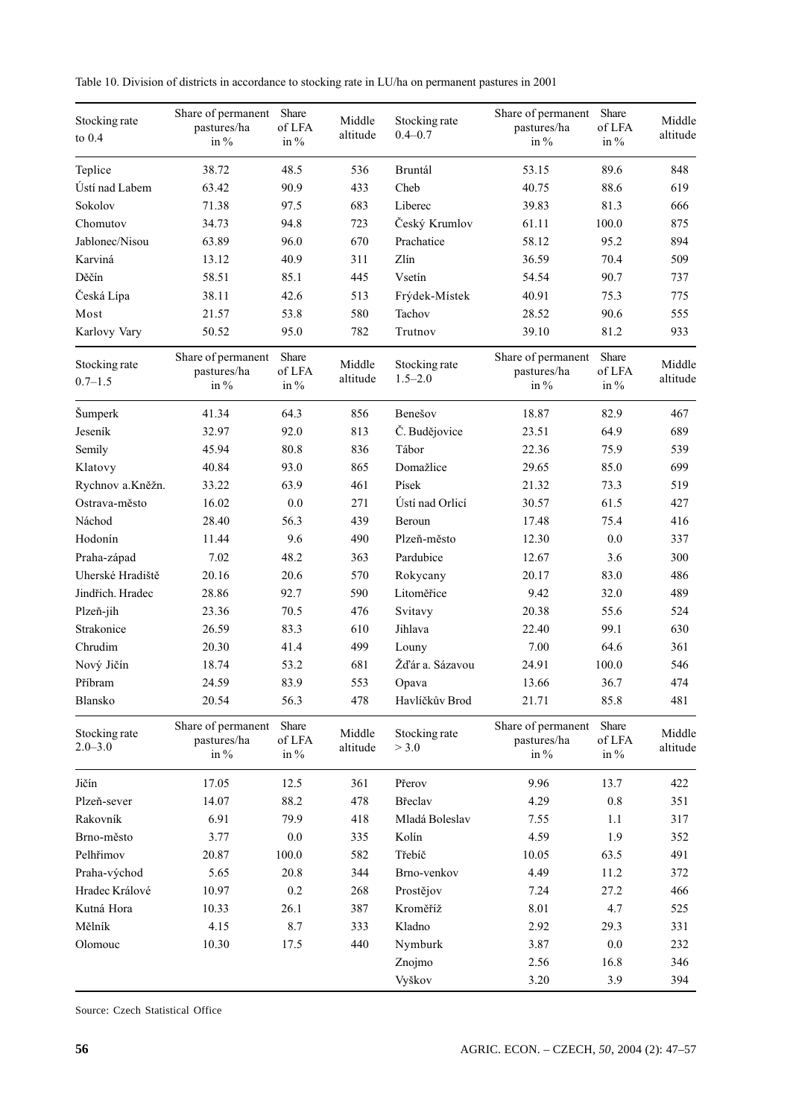Table 10. Division of districts in accordance to stocking rate in LU/ha on permanent pastures in 2001

| 48.5<br>536<br>89.6<br>848<br>Teplice<br>38.72<br>Bruntál<br>53.15<br>Ústí nad Labem<br>90.9<br>433<br>Cheb<br>88.6<br>63.42<br>40.75<br>619<br>Sokolov<br>97.5<br>683<br>Liberec<br>81.3<br>71.38<br>39.83<br>666<br>Český Krumlov<br>34.73<br>94.8<br>723<br>100.0<br>875<br>Chomutov<br>61.11<br>Jablonec/Nisou<br>96.0<br>670<br>58.12<br>95.2<br>894<br>63.89<br>Prachatice<br>Zlín<br>Karviná<br>40.9<br>311<br>36.59<br>70.4<br>509<br>13.12<br>Děčín<br>85.1<br>90.7<br>58.51<br>445<br>Vsetín<br>54.54<br>737<br>Česká Lípa<br>42.6<br>38.11<br>513<br>Frýdek-Místek<br>40.91<br>75.3<br>775<br>580<br>Tachov<br>90.6<br>Most<br>21.57<br>53.8<br>28.52<br>555<br>Karlovy Vary<br>50.52<br>95.0<br>782<br>Trutnov<br>39.10<br>81.2<br>933<br>Share of permanent<br>Share<br>Share of permanent<br>Share<br>Stocking rate<br>Middle<br>Stocking rate<br>of LFA<br>of LFA<br>pastures/ha<br>pastures/ha<br>altitude<br>$1.5 - 2.0$<br>$0.7 - 1.5$<br>in $\%$<br>in $\%$<br>in $\%$<br>in $\%$<br>856<br>82.9<br>Šumperk<br>41.34<br>64.3<br>Benešov<br>18.87<br>467<br>92.0<br>813<br>Č. Budějovice<br>689<br>Jeseník<br>32.97<br>23.51<br>64.9<br>Tábor<br>Semily<br>45.94<br>80.8<br>836<br>22.36<br>75.9<br>539<br>Domažlice<br>85.0<br>40.84<br>93.0<br>865<br>29.65<br>699<br>Klatovy<br>461<br>Písek<br>Rychnov a.Kněžn.<br>33.22<br>63.9<br>21.32<br>73.3<br>519<br>271<br>Ústí nad Orlicí<br>61.5<br>427<br>Ostrava-město<br>16.02<br>0.0<br>30.57<br>Náchod<br>56.3<br>75.4<br>28.40<br>439<br>17.48<br>416<br>Beroun<br>9.6<br>Hodonín<br>11.44<br>490<br>Plzeň-město<br>0.0<br>337<br>12.30<br>7.02<br>48.2<br>Pardubice<br>Praha-západ<br>363<br>12.67<br>3.6<br>300<br>570<br>Uherské Hradiště<br>20.16<br>20.6<br>Rokycany<br>20.17<br>83.0<br>486<br>28.86<br>Litoměřice<br>32.0<br>Jindřich. Hradec<br>92.7<br>590<br>9.42<br>489<br>476<br>55.6<br>Plzeň-jih<br>23.36<br>70.5<br>Svitavy<br>20.38<br>524<br>Strakonice<br>Jihlava<br>99.1<br>26.59<br>83.3<br>610<br>22.40<br>630<br>Chrudim<br>499<br>20.30<br>41.4<br>7.00<br>64.6<br>361<br>Louny<br>Žďár a. Sázavou<br>Nový Jičín<br>18.74<br>53.2<br>681<br>24.91<br>100.0<br>546<br>Příbram<br>24.59<br>83.9<br>553<br>13.66<br>36.7<br>474<br>Opava<br>Blansko<br>20.54<br>56.3<br>478<br>Havlíčkův Brod<br>21.71<br>85.8<br>481<br>Share<br>Share<br>Share of permanent<br>Share of permanent<br>Middle<br>Stocking rate<br>Stocking rate<br>pastures/ha<br>of LFA<br>pastures/ha<br>of LFA<br>$2.0 - 3.0$<br>altitude<br>> 3.0<br>in $%$<br>in $\%$<br>in $\%$<br>in $\%$<br>9.96<br>Jičín<br>17.05<br>12.5<br>361<br>Přerov<br>13.7<br>422<br>88.2<br>Břeclav<br>Plzeň-sever<br>14.07<br>478<br>4.29<br>0.8<br>351<br>6.91<br>79.9<br>418<br>Mladá Boleslav<br>Rakovník<br>7.55<br>1.1<br>317<br>3.77<br>$0.0\,$<br>Kolín<br>4.59<br>1.9<br>Brno-město<br>335<br>352<br>Pelhřimov<br>20.87<br>100.0<br>582<br>Třebíč<br>63.5<br>491<br>10.05<br>20.8<br>4.49<br>Praha-východ<br>5.65<br>344<br>Brno-venkov<br>11.2<br>372<br>Hradec Králové<br>0.2<br>Prostějov<br>7.24<br>10.97<br>268<br>27.2<br>466<br>Kutná Hora<br>26.1<br>387<br>Kroměříž<br>8.01<br>10.33<br>4.7<br>525<br>Mělník<br>4.15<br>8.7<br>333<br>Kladno<br>2.92<br>29.3<br>331<br>Olomouc<br>10.30<br>17.5<br>440<br>Nymburk<br>3.87<br>0.0<br>232<br>16.8<br>Znojmo<br>2.56<br>346 | Stocking rate<br>to $0.4$ | Share of permanent<br>pastures/ha<br>in $\%$ | Share<br>of LFA<br>in $\%$ | Middle<br>altitude | Stocking rate<br>$0.4 - 0.7$ | Share of permanent<br>pastures/ha<br>in $\%$ | Share<br>of LFA<br>in $\%$ | Middle<br>altitude |
|----------------------------------------------------------------------------------------------------------------------------------------------------------------------------------------------------------------------------------------------------------------------------------------------------------------------------------------------------------------------------------------------------------------------------------------------------------------------------------------------------------------------------------------------------------------------------------------------------------------------------------------------------------------------------------------------------------------------------------------------------------------------------------------------------------------------------------------------------------------------------------------------------------------------------------------------------------------------------------------------------------------------------------------------------------------------------------------------------------------------------------------------------------------------------------------------------------------------------------------------------------------------------------------------------------------------------------------------------------------------------------------------------------------------------------------------------------------------------------------------------------------------------------------------------------------------------------------------------------------------------------------------------------------------------------------------------------------------------------------------------------------------------------------------------------------------------------------------------------------------------------------------------------------------------------------------------------------------------------------------------------------------------------------------------------------------------------------------------------------------------------------------------------------------------------------------------------------------------------------------------------------------------------------------------------------------------------------------------------------------------------------------------------------------------------------------------------------------------------------------------------------------------------------------------------------------------------------------------------------------------------------------------------------------------------------------------------------------------------------------------------------------------------------------------------------------------------------------------------------------------------------------------------------------------------------------------------------------------------------------------------------------------------------------------------------------------------------------------------------------------------------------------------------------------------------------------------------------------------------------------------------------------------------------------------------------------------------|---------------------------|----------------------------------------------|----------------------------|--------------------|------------------------------|----------------------------------------------|----------------------------|--------------------|
|                                                                                                                                                                                                                                                                                                                                                                                                                                                                                                                                                                                                                                                                                                                                                                                                                                                                                                                                                                                                                                                                                                                                                                                                                                                                                                                                                                                                                                                                                                                                                                                                                                                                                                                                                                                                                                                                                                                                                                                                                                                                                                                                                                                                                                                                                                                                                                                                                                                                                                                                                                                                                                                                                                                                                                                                                                                                                                                                                                                                                                                                                                                                                                                                                                                                                                                                        |                           |                                              |                            |                    |                              |                                              |                            |                    |
|                                                                                                                                                                                                                                                                                                                                                                                                                                                                                                                                                                                                                                                                                                                                                                                                                                                                                                                                                                                                                                                                                                                                                                                                                                                                                                                                                                                                                                                                                                                                                                                                                                                                                                                                                                                                                                                                                                                                                                                                                                                                                                                                                                                                                                                                                                                                                                                                                                                                                                                                                                                                                                                                                                                                                                                                                                                                                                                                                                                                                                                                                                                                                                                                                                                                                                                                        |                           |                                              |                            |                    |                              |                                              |                            |                    |
|                                                                                                                                                                                                                                                                                                                                                                                                                                                                                                                                                                                                                                                                                                                                                                                                                                                                                                                                                                                                                                                                                                                                                                                                                                                                                                                                                                                                                                                                                                                                                                                                                                                                                                                                                                                                                                                                                                                                                                                                                                                                                                                                                                                                                                                                                                                                                                                                                                                                                                                                                                                                                                                                                                                                                                                                                                                                                                                                                                                                                                                                                                                                                                                                                                                                                                                                        |                           |                                              |                            |                    |                              |                                              |                            |                    |
|                                                                                                                                                                                                                                                                                                                                                                                                                                                                                                                                                                                                                                                                                                                                                                                                                                                                                                                                                                                                                                                                                                                                                                                                                                                                                                                                                                                                                                                                                                                                                                                                                                                                                                                                                                                                                                                                                                                                                                                                                                                                                                                                                                                                                                                                                                                                                                                                                                                                                                                                                                                                                                                                                                                                                                                                                                                                                                                                                                                                                                                                                                                                                                                                                                                                                                                                        |                           |                                              |                            |                    |                              |                                              |                            |                    |
|                                                                                                                                                                                                                                                                                                                                                                                                                                                                                                                                                                                                                                                                                                                                                                                                                                                                                                                                                                                                                                                                                                                                                                                                                                                                                                                                                                                                                                                                                                                                                                                                                                                                                                                                                                                                                                                                                                                                                                                                                                                                                                                                                                                                                                                                                                                                                                                                                                                                                                                                                                                                                                                                                                                                                                                                                                                                                                                                                                                                                                                                                                                                                                                                                                                                                                                                        |                           |                                              |                            |                    |                              |                                              |                            |                    |
|                                                                                                                                                                                                                                                                                                                                                                                                                                                                                                                                                                                                                                                                                                                                                                                                                                                                                                                                                                                                                                                                                                                                                                                                                                                                                                                                                                                                                                                                                                                                                                                                                                                                                                                                                                                                                                                                                                                                                                                                                                                                                                                                                                                                                                                                                                                                                                                                                                                                                                                                                                                                                                                                                                                                                                                                                                                                                                                                                                                                                                                                                                                                                                                                                                                                                                                                        |                           |                                              |                            |                    |                              |                                              |                            |                    |
|                                                                                                                                                                                                                                                                                                                                                                                                                                                                                                                                                                                                                                                                                                                                                                                                                                                                                                                                                                                                                                                                                                                                                                                                                                                                                                                                                                                                                                                                                                                                                                                                                                                                                                                                                                                                                                                                                                                                                                                                                                                                                                                                                                                                                                                                                                                                                                                                                                                                                                                                                                                                                                                                                                                                                                                                                                                                                                                                                                                                                                                                                                                                                                                                                                                                                                                                        |                           |                                              |                            |                    |                              |                                              |                            |                    |
|                                                                                                                                                                                                                                                                                                                                                                                                                                                                                                                                                                                                                                                                                                                                                                                                                                                                                                                                                                                                                                                                                                                                                                                                                                                                                                                                                                                                                                                                                                                                                                                                                                                                                                                                                                                                                                                                                                                                                                                                                                                                                                                                                                                                                                                                                                                                                                                                                                                                                                                                                                                                                                                                                                                                                                                                                                                                                                                                                                                                                                                                                                                                                                                                                                                                                                                                        |                           |                                              |                            |                    |                              |                                              |                            |                    |
|                                                                                                                                                                                                                                                                                                                                                                                                                                                                                                                                                                                                                                                                                                                                                                                                                                                                                                                                                                                                                                                                                                                                                                                                                                                                                                                                                                                                                                                                                                                                                                                                                                                                                                                                                                                                                                                                                                                                                                                                                                                                                                                                                                                                                                                                                                                                                                                                                                                                                                                                                                                                                                                                                                                                                                                                                                                                                                                                                                                                                                                                                                                                                                                                                                                                                                                                        |                           |                                              |                            |                    |                              |                                              |                            |                    |
|                                                                                                                                                                                                                                                                                                                                                                                                                                                                                                                                                                                                                                                                                                                                                                                                                                                                                                                                                                                                                                                                                                                                                                                                                                                                                                                                                                                                                                                                                                                                                                                                                                                                                                                                                                                                                                                                                                                                                                                                                                                                                                                                                                                                                                                                                                                                                                                                                                                                                                                                                                                                                                                                                                                                                                                                                                                                                                                                                                                                                                                                                                                                                                                                                                                                                                                                        |                           |                                              |                            |                    |                              |                                              |                            |                    |
|                                                                                                                                                                                                                                                                                                                                                                                                                                                                                                                                                                                                                                                                                                                                                                                                                                                                                                                                                                                                                                                                                                                                                                                                                                                                                                                                                                                                                                                                                                                                                                                                                                                                                                                                                                                                                                                                                                                                                                                                                                                                                                                                                                                                                                                                                                                                                                                                                                                                                                                                                                                                                                                                                                                                                                                                                                                                                                                                                                                                                                                                                                                                                                                                                                                                                                                                        |                           |                                              |                            |                    |                              |                                              |                            | Middle<br>altitude |
|                                                                                                                                                                                                                                                                                                                                                                                                                                                                                                                                                                                                                                                                                                                                                                                                                                                                                                                                                                                                                                                                                                                                                                                                                                                                                                                                                                                                                                                                                                                                                                                                                                                                                                                                                                                                                                                                                                                                                                                                                                                                                                                                                                                                                                                                                                                                                                                                                                                                                                                                                                                                                                                                                                                                                                                                                                                                                                                                                                                                                                                                                                                                                                                                                                                                                                                                        |                           |                                              |                            |                    |                              |                                              |                            |                    |
|                                                                                                                                                                                                                                                                                                                                                                                                                                                                                                                                                                                                                                                                                                                                                                                                                                                                                                                                                                                                                                                                                                                                                                                                                                                                                                                                                                                                                                                                                                                                                                                                                                                                                                                                                                                                                                                                                                                                                                                                                                                                                                                                                                                                                                                                                                                                                                                                                                                                                                                                                                                                                                                                                                                                                                                                                                                                                                                                                                                                                                                                                                                                                                                                                                                                                                                                        |                           |                                              |                            |                    |                              |                                              |                            |                    |
|                                                                                                                                                                                                                                                                                                                                                                                                                                                                                                                                                                                                                                                                                                                                                                                                                                                                                                                                                                                                                                                                                                                                                                                                                                                                                                                                                                                                                                                                                                                                                                                                                                                                                                                                                                                                                                                                                                                                                                                                                                                                                                                                                                                                                                                                                                                                                                                                                                                                                                                                                                                                                                                                                                                                                                                                                                                                                                                                                                                                                                                                                                                                                                                                                                                                                                                                        |                           |                                              |                            |                    |                              |                                              |                            |                    |
|                                                                                                                                                                                                                                                                                                                                                                                                                                                                                                                                                                                                                                                                                                                                                                                                                                                                                                                                                                                                                                                                                                                                                                                                                                                                                                                                                                                                                                                                                                                                                                                                                                                                                                                                                                                                                                                                                                                                                                                                                                                                                                                                                                                                                                                                                                                                                                                                                                                                                                                                                                                                                                                                                                                                                                                                                                                                                                                                                                                                                                                                                                                                                                                                                                                                                                                                        |                           |                                              |                            |                    |                              |                                              |                            |                    |
|                                                                                                                                                                                                                                                                                                                                                                                                                                                                                                                                                                                                                                                                                                                                                                                                                                                                                                                                                                                                                                                                                                                                                                                                                                                                                                                                                                                                                                                                                                                                                                                                                                                                                                                                                                                                                                                                                                                                                                                                                                                                                                                                                                                                                                                                                                                                                                                                                                                                                                                                                                                                                                                                                                                                                                                                                                                                                                                                                                                                                                                                                                                                                                                                                                                                                                                                        |                           |                                              |                            |                    |                              |                                              |                            |                    |
|                                                                                                                                                                                                                                                                                                                                                                                                                                                                                                                                                                                                                                                                                                                                                                                                                                                                                                                                                                                                                                                                                                                                                                                                                                                                                                                                                                                                                                                                                                                                                                                                                                                                                                                                                                                                                                                                                                                                                                                                                                                                                                                                                                                                                                                                                                                                                                                                                                                                                                                                                                                                                                                                                                                                                                                                                                                                                                                                                                                                                                                                                                                                                                                                                                                                                                                                        |                           |                                              |                            |                    |                              |                                              |                            |                    |
|                                                                                                                                                                                                                                                                                                                                                                                                                                                                                                                                                                                                                                                                                                                                                                                                                                                                                                                                                                                                                                                                                                                                                                                                                                                                                                                                                                                                                                                                                                                                                                                                                                                                                                                                                                                                                                                                                                                                                                                                                                                                                                                                                                                                                                                                                                                                                                                                                                                                                                                                                                                                                                                                                                                                                                                                                                                                                                                                                                                                                                                                                                                                                                                                                                                                                                                                        |                           |                                              |                            |                    |                              |                                              |                            |                    |
|                                                                                                                                                                                                                                                                                                                                                                                                                                                                                                                                                                                                                                                                                                                                                                                                                                                                                                                                                                                                                                                                                                                                                                                                                                                                                                                                                                                                                                                                                                                                                                                                                                                                                                                                                                                                                                                                                                                                                                                                                                                                                                                                                                                                                                                                                                                                                                                                                                                                                                                                                                                                                                                                                                                                                                                                                                                                                                                                                                                                                                                                                                                                                                                                                                                                                                                                        |                           |                                              |                            |                    |                              |                                              |                            |                    |
|                                                                                                                                                                                                                                                                                                                                                                                                                                                                                                                                                                                                                                                                                                                                                                                                                                                                                                                                                                                                                                                                                                                                                                                                                                                                                                                                                                                                                                                                                                                                                                                                                                                                                                                                                                                                                                                                                                                                                                                                                                                                                                                                                                                                                                                                                                                                                                                                                                                                                                                                                                                                                                                                                                                                                                                                                                                                                                                                                                                                                                                                                                                                                                                                                                                                                                                                        |                           |                                              |                            |                    |                              |                                              |                            |                    |
|                                                                                                                                                                                                                                                                                                                                                                                                                                                                                                                                                                                                                                                                                                                                                                                                                                                                                                                                                                                                                                                                                                                                                                                                                                                                                                                                                                                                                                                                                                                                                                                                                                                                                                                                                                                                                                                                                                                                                                                                                                                                                                                                                                                                                                                                                                                                                                                                                                                                                                                                                                                                                                                                                                                                                                                                                                                                                                                                                                                                                                                                                                                                                                                                                                                                                                                                        |                           |                                              |                            |                    |                              |                                              |                            |                    |
|                                                                                                                                                                                                                                                                                                                                                                                                                                                                                                                                                                                                                                                                                                                                                                                                                                                                                                                                                                                                                                                                                                                                                                                                                                                                                                                                                                                                                                                                                                                                                                                                                                                                                                                                                                                                                                                                                                                                                                                                                                                                                                                                                                                                                                                                                                                                                                                                                                                                                                                                                                                                                                                                                                                                                                                                                                                                                                                                                                                                                                                                                                                                                                                                                                                                                                                                        |                           |                                              |                            |                    |                              |                                              |                            |                    |
|                                                                                                                                                                                                                                                                                                                                                                                                                                                                                                                                                                                                                                                                                                                                                                                                                                                                                                                                                                                                                                                                                                                                                                                                                                                                                                                                                                                                                                                                                                                                                                                                                                                                                                                                                                                                                                                                                                                                                                                                                                                                                                                                                                                                                                                                                                                                                                                                                                                                                                                                                                                                                                                                                                                                                                                                                                                                                                                                                                                                                                                                                                                                                                                                                                                                                                                                        |                           |                                              |                            |                    |                              |                                              |                            |                    |
|                                                                                                                                                                                                                                                                                                                                                                                                                                                                                                                                                                                                                                                                                                                                                                                                                                                                                                                                                                                                                                                                                                                                                                                                                                                                                                                                                                                                                                                                                                                                                                                                                                                                                                                                                                                                                                                                                                                                                                                                                                                                                                                                                                                                                                                                                                                                                                                                                                                                                                                                                                                                                                                                                                                                                                                                                                                                                                                                                                                                                                                                                                                                                                                                                                                                                                                                        |                           |                                              |                            |                    |                              |                                              |                            |                    |
|                                                                                                                                                                                                                                                                                                                                                                                                                                                                                                                                                                                                                                                                                                                                                                                                                                                                                                                                                                                                                                                                                                                                                                                                                                                                                                                                                                                                                                                                                                                                                                                                                                                                                                                                                                                                                                                                                                                                                                                                                                                                                                                                                                                                                                                                                                                                                                                                                                                                                                                                                                                                                                                                                                                                                                                                                                                                                                                                                                                                                                                                                                                                                                                                                                                                                                                                        |                           |                                              |                            |                    |                              |                                              |                            |                    |
|                                                                                                                                                                                                                                                                                                                                                                                                                                                                                                                                                                                                                                                                                                                                                                                                                                                                                                                                                                                                                                                                                                                                                                                                                                                                                                                                                                                                                                                                                                                                                                                                                                                                                                                                                                                                                                                                                                                                                                                                                                                                                                                                                                                                                                                                                                                                                                                                                                                                                                                                                                                                                                                                                                                                                                                                                                                                                                                                                                                                                                                                                                                                                                                                                                                                                                                                        |                           |                                              |                            |                    |                              |                                              |                            |                    |
|                                                                                                                                                                                                                                                                                                                                                                                                                                                                                                                                                                                                                                                                                                                                                                                                                                                                                                                                                                                                                                                                                                                                                                                                                                                                                                                                                                                                                                                                                                                                                                                                                                                                                                                                                                                                                                                                                                                                                                                                                                                                                                                                                                                                                                                                                                                                                                                                                                                                                                                                                                                                                                                                                                                                                                                                                                                                                                                                                                                                                                                                                                                                                                                                                                                                                                                                        |                           |                                              |                            |                    |                              |                                              |                            |                    |
|                                                                                                                                                                                                                                                                                                                                                                                                                                                                                                                                                                                                                                                                                                                                                                                                                                                                                                                                                                                                                                                                                                                                                                                                                                                                                                                                                                                                                                                                                                                                                                                                                                                                                                                                                                                                                                                                                                                                                                                                                                                                                                                                                                                                                                                                                                                                                                                                                                                                                                                                                                                                                                                                                                                                                                                                                                                                                                                                                                                                                                                                                                                                                                                                                                                                                                                                        |                           |                                              |                            |                    |                              |                                              |                            |                    |
|                                                                                                                                                                                                                                                                                                                                                                                                                                                                                                                                                                                                                                                                                                                                                                                                                                                                                                                                                                                                                                                                                                                                                                                                                                                                                                                                                                                                                                                                                                                                                                                                                                                                                                                                                                                                                                                                                                                                                                                                                                                                                                                                                                                                                                                                                                                                                                                                                                                                                                                                                                                                                                                                                                                                                                                                                                                                                                                                                                                                                                                                                                                                                                                                                                                                                                                                        |                           |                                              |                            |                    |                              |                                              |                            |                    |
|                                                                                                                                                                                                                                                                                                                                                                                                                                                                                                                                                                                                                                                                                                                                                                                                                                                                                                                                                                                                                                                                                                                                                                                                                                                                                                                                                                                                                                                                                                                                                                                                                                                                                                                                                                                                                                                                                                                                                                                                                                                                                                                                                                                                                                                                                                                                                                                                                                                                                                                                                                                                                                                                                                                                                                                                                                                                                                                                                                                                                                                                                                                                                                                                                                                                                                                                        |                           |                                              |                            |                    |                              |                                              |                            | Middle<br>altitude |
|                                                                                                                                                                                                                                                                                                                                                                                                                                                                                                                                                                                                                                                                                                                                                                                                                                                                                                                                                                                                                                                                                                                                                                                                                                                                                                                                                                                                                                                                                                                                                                                                                                                                                                                                                                                                                                                                                                                                                                                                                                                                                                                                                                                                                                                                                                                                                                                                                                                                                                                                                                                                                                                                                                                                                                                                                                                                                                                                                                                                                                                                                                                                                                                                                                                                                                                                        |                           |                                              |                            |                    |                              |                                              |                            |                    |
|                                                                                                                                                                                                                                                                                                                                                                                                                                                                                                                                                                                                                                                                                                                                                                                                                                                                                                                                                                                                                                                                                                                                                                                                                                                                                                                                                                                                                                                                                                                                                                                                                                                                                                                                                                                                                                                                                                                                                                                                                                                                                                                                                                                                                                                                                                                                                                                                                                                                                                                                                                                                                                                                                                                                                                                                                                                                                                                                                                                                                                                                                                                                                                                                                                                                                                                                        |                           |                                              |                            |                    |                              |                                              |                            |                    |
|                                                                                                                                                                                                                                                                                                                                                                                                                                                                                                                                                                                                                                                                                                                                                                                                                                                                                                                                                                                                                                                                                                                                                                                                                                                                                                                                                                                                                                                                                                                                                                                                                                                                                                                                                                                                                                                                                                                                                                                                                                                                                                                                                                                                                                                                                                                                                                                                                                                                                                                                                                                                                                                                                                                                                                                                                                                                                                                                                                                                                                                                                                                                                                                                                                                                                                                                        |                           |                                              |                            |                    |                              |                                              |                            |                    |
|                                                                                                                                                                                                                                                                                                                                                                                                                                                                                                                                                                                                                                                                                                                                                                                                                                                                                                                                                                                                                                                                                                                                                                                                                                                                                                                                                                                                                                                                                                                                                                                                                                                                                                                                                                                                                                                                                                                                                                                                                                                                                                                                                                                                                                                                                                                                                                                                                                                                                                                                                                                                                                                                                                                                                                                                                                                                                                                                                                                                                                                                                                                                                                                                                                                                                                                                        |                           |                                              |                            |                    |                              |                                              |                            |                    |
|                                                                                                                                                                                                                                                                                                                                                                                                                                                                                                                                                                                                                                                                                                                                                                                                                                                                                                                                                                                                                                                                                                                                                                                                                                                                                                                                                                                                                                                                                                                                                                                                                                                                                                                                                                                                                                                                                                                                                                                                                                                                                                                                                                                                                                                                                                                                                                                                                                                                                                                                                                                                                                                                                                                                                                                                                                                                                                                                                                                                                                                                                                                                                                                                                                                                                                                                        |                           |                                              |                            |                    |                              |                                              |                            |                    |
|                                                                                                                                                                                                                                                                                                                                                                                                                                                                                                                                                                                                                                                                                                                                                                                                                                                                                                                                                                                                                                                                                                                                                                                                                                                                                                                                                                                                                                                                                                                                                                                                                                                                                                                                                                                                                                                                                                                                                                                                                                                                                                                                                                                                                                                                                                                                                                                                                                                                                                                                                                                                                                                                                                                                                                                                                                                                                                                                                                                                                                                                                                                                                                                                                                                                                                                                        |                           |                                              |                            |                    |                              |                                              |                            |                    |
|                                                                                                                                                                                                                                                                                                                                                                                                                                                                                                                                                                                                                                                                                                                                                                                                                                                                                                                                                                                                                                                                                                                                                                                                                                                                                                                                                                                                                                                                                                                                                                                                                                                                                                                                                                                                                                                                                                                                                                                                                                                                                                                                                                                                                                                                                                                                                                                                                                                                                                                                                                                                                                                                                                                                                                                                                                                                                                                                                                                                                                                                                                                                                                                                                                                                                                                                        |                           |                                              |                            |                    |                              |                                              |                            |                    |
|                                                                                                                                                                                                                                                                                                                                                                                                                                                                                                                                                                                                                                                                                                                                                                                                                                                                                                                                                                                                                                                                                                                                                                                                                                                                                                                                                                                                                                                                                                                                                                                                                                                                                                                                                                                                                                                                                                                                                                                                                                                                                                                                                                                                                                                                                                                                                                                                                                                                                                                                                                                                                                                                                                                                                                                                                                                                                                                                                                                                                                                                                                                                                                                                                                                                                                                                        |                           |                                              |                            |                    |                              |                                              |                            |                    |
|                                                                                                                                                                                                                                                                                                                                                                                                                                                                                                                                                                                                                                                                                                                                                                                                                                                                                                                                                                                                                                                                                                                                                                                                                                                                                                                                                                                                                                                                                                                                                                                                                                                                                                                                                                                                                                                                                                                                                                                                                                                                                                                                                                                                                                                                                                                                                                                                                                                                                                                                                                                                                                                                                                                                                                                                                                                                                                                                                                                                                                                                                                                                                                                                                                                                                                                                        |                           |                                              |                            |                    |                              |                                              |                            |                    |
|                                                                                                                                                                                                                                                                                                                                                                                                                                                                                                                                                                                                                                                                                                                                                                                                                                                                                                                                                                                                                                                                                                                                                                                                                                                                                                                                                                                                                                                                                                                                                                                                                                                                                                                                                                                                                                                                                                                                                                                                                                                                                                                                                                                                                                                                                                                                                                                                                                                                                                                                                                                                                                                                                                                                                                                                                                                                                                                                                                                                                                                                                                                                                                                                                                                                                                                                        |                           |                                              |                            |                    |                              |                                              |                            |                    |
|                                                                                                                                                                                                                                                                                                                                                                                                                                                                                                                                                                                                                                                                                                                                                                                                                                                                                                                                                                                                                                                                                                                                                                                                                                                                                                                                                                                                                                                                                                                                                                                                                                                                                                                                                                                                                                                                                                                                                                                                                                                                                                                                                                                                                                                                                                                                                                                                                                                                                                                                                                                                                                                                                                                                                                                                                                                                                                                                                                                                                                                                                                                                                                                                                                                                                                                                        |                           |                                              |                            |                    |                              |                                              |                            |                    |
|                                                                                                                                                                                                                                                                                                                                                                                                                                                                                                                                                                                                                                                                                                                                                                                                                                                                                                                                                                                                                                                                                                                                                                                                                                                                                                                                                                                                                                                                                                                                                                                                                                                                                                                                                                                                                                                                                                                                                                                                                                                                                                                                                                                                                                                                                                                                                                                                                                                                                                                                                                                                                                                                                                                                                                                                                                                                                                                                                                                                                                                                                                                                                                                                                                                                                                                                        |                           |                                              |                            |                    | Vyškov                       | 3.20                                         | 3.9                        | 394                |